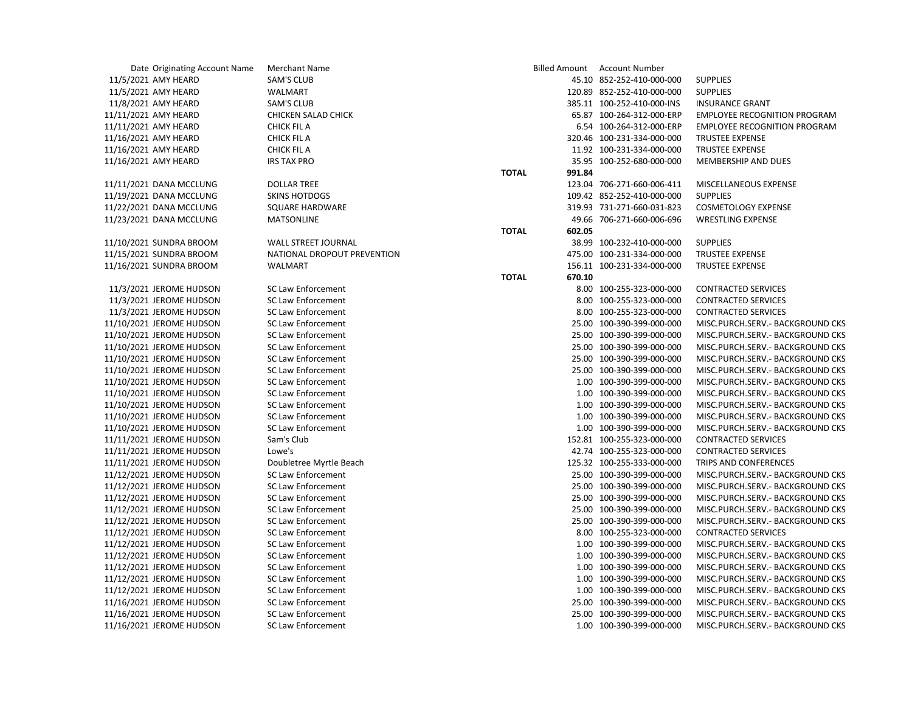| Date Originating Account Name | <b>Merchant Name</b>        |                        | Billed Amount Account Number |                                     |
|-------------------------------|-----------------------------|------------------------|------------------------------|-------------------------------------|
| 11/5/2021 AMY HEARD           | <b>SAM'S CLUB</b>           |                        | 45.10 852-252-410-000-000    | <b>SUPPLIES</b>                     |
| 11/5/2021 AMY HEARD           | WALMART                     |                        | 120.89 852-252-410-000-000   | <b>SUPPLIES</b>                     |
| 11/8/2021 AMY HEARD           | <b>SAM'S CLUB</b>           |                        | 385.11 100-252-410-000-INS   | <b>INSURANCE GRANT</b>              |
| 11/11/2021 AMY HEARD          | CHICKEN SALAD CHICK         |                        | 65.87 100-264-312-000-ERP    | <b>EMPLOYEE RECOGNITION PROGRAM</b> |
| 11/11/2021 AMY HEARD          | <b>CHICK FIL A</b>          |                        | 6.54 100-264-312-000-ERP     | <b>EMPLOYEE RECOGNITION PROGRAM</b> |
| 11/16/2021 AMY HEARD          | <b>CHICK FIL A</b>          |                        | 320.46 100-231-334-000-000   | <b>TRUSTEE EXPENSE</b>              |
| 11/16/2021 AMY HEARD          | <b>CHICK FIL A</b>          |                        | 11.92 100-231-334-000-000    | <b>TRUSTEE EXPENSE</b>              |
| 11/16/2021 AMY HEARD          | <b>IRS TAX PRO</b>          |                        | 35.95 100-252-680-000-000    | <b>MEMBERSHIP AND DUES</b>          |
|                               |                             | <b>TOTAL</b><br>991.84 |                              |                                     |
| 11/11/2021 DANA MCCLUNG       | <b>DOLLAR TREE</b>          |                        | 123.04 706-271-660-006-411   | MISCELLANEOUS EXPENSE               |
| 11/19/2021 DANA MCCLUNG       | <b>SKINS HOTDOGS</b>        |                        | 109.42 852-252-410-000-000   | <b>SUPPLIES</b>                     |
| 11/22/2021 DANA MCCLUNG       | <b>SQUARE HARDWARE</b>      |                        | 319.93 731-271-660-031-823   | <b>COSMETOLOGY EXPENSE</b>          |
| 11/23/2021 DANA MCCLUNG       | <b>MATSONLINE</b>           |                        | 49.66 706-271-660-006-696    | <b>WRESTLING EXPENSE</b>            |
|                               |                             | <b>TOTAL</b><br>602.05 |                              |                                     |
| 11/10/2021 SUNDRA BROOM       | <b>WALL STREET JOURNAL</b>  |                        | 38.99 100-232-410-000-000    | <b>SUPPLIES</b>                     |
| 11/15/2021 SUNDRA BROOM       | NATIONAL DROPOUT PREVENTION |                        | 475.00 100-231-334-000-000   | TRUSTEE EXPENSE                     |
| 11/16/2021 SUNDRA BROOM       | <b>WALMART</b>              |                        | 156.11 100-231-334-000-000   | <b>TRUSTEE EXPENSE</b>              |
|                               |                             | <b>TOTAL</b>           |                              |                                     |
|                               |                             | 670.10                 |                              |                                     |
| 11/3/2021 JEROME HUDSON       | <b>SC Law Enforcement</b>   |                        | 8.00 100-255-323-000-000     | <b>CONTRACTED SERVICES</b>          |
| 11/3/2021 JEROME HUDSON       | <b>SC Law Enforcement</b>   |                        | 8.00 100-255-323-000-000     | <b>CONTRACTED SERVICES</b>          |
| 11/3/2021 JEROME HUDSON       | <b>SC Law Enforcement</b>   |                        | 8.00 100-255-323-000-000     | <b>CONTRACTED SERVICES</b>          |
| 11/10/2021 JEROME HUDSON      | SC Law Enforcement          |                        | 25.00 100-390-399-000-000    | MISC.PURCH.SERV.- BACKGROUND CKS    |
| 11/10/2021 JEROME HUDSON      | SC Law Enforcement          |                        | 25.00 100-390-399-000-000    | MISC.PURCH.SERV.- BACKGROUND CKS    |
| 11/10/2021 JEROME HUDSON      | SC Law Enforcement          |                        | 25.00 100-390-399-000-000    | MISC.PURCH.SERV.- BACKGROUND CKS    |
| 11/10/2021 JEROME HUDSON      | SC Law Enforcement          |                        | 25.00 100-390-399-000-000    | MISC.PURCH.SERV.- BACKGROUND CKS    |
| 11/10/2021 JEROME HUDSON      | SC Law Enforcement          |                        | 25.00 100-390-399-000-000    | MISC.PURCH.SERV.- BACKGROUND CKS    |
| 11/10/2021 JEROME HUDSON      | <b>SC Law Enforcement</b>   |                        | 1.00 100-390-399-000-000     | MISC.PURCH.SERV.- BACKGROUND CKS    |
| 11/10/2021 JEROME HUDSON      | <b>SC Law Enforcement</b>   |                        | 1.00 100-390-399-000-000     | MISC.PURCH.SERV.- BACKGROUND CKS    |
| 11/10/2021 JEROME HUDSON      | <b>SC Law Enforcement</b>   |                        | 1.00 100-390-399-000-000     | MISC.PURCH.SERV.- BACKGROUND CKS    |
| 11/10/2021 JEROME HUDSON      | SC Law Enforcement          |                        | 1.00 100-390-399-000-000     | MISC.PURCH.SERV.- BACKGROUND CKS    |
| 11/10/2021 JEROME HUDSON      | <b>SC Law Enforcement</b>   |                        | 1.00 100-390-399-000-000     | MISC.PURCH.SERV.- BACKGROUND CKS    |
| 11/11/2021 JEROME HUDSON      | Sam's Club                  |                        | 152.81 100-255-323-000-000   | <b>CONTRACTED SERVICES</b>          |
| 11/11/2021 JEROME HUDSON      | Lowe's                      |                        | 42.74 100-255-323-000-000    | <b>CONTRACTED SERVICES</b>          |
| 11/11/2021 JEROME HUDSON      | Doubletree Myrtle Beach     |                        | 125.32 100-255-333-000-000   | TRIPS AND CONFERENCES               |
| 11/12/2021 JEROME HUDSON      | SC Law Enforcement          |                        | 25.00 100-390-399-000-000    | MISC.PURCH.SERV.- BACKGROUND CKS    |
| 11/12/2021 JEROME HUDSON      | <b>SC Law Enforcement</b>   |                        | 25.00 100-390-399-000-000    | MISC.PURCH.SERV.- BACKGROUND CKS    |
| 11/12/2021 JEROME HUDSON      | <b>SC Law Enforcement</b>   |                        | 25.00 100-390-399-000-000    | MISC.PURCH.SERV.- BACKGROUND CKS    |
| 11/12/2021 JEROME HUDSON      | <b>SC Law Enforcement</b>   |                        | 25.00 100-390-399-000-000    | MISC.PURCH.SERV.- BACKGROUND CKS    |
| 11/12/2021 JEROME HUDSON      | <b>SC Law Enforcement</b>   |                        | 25.00 100-390-399-000-000    | MISC.PURCH.SERV.- BACKGROUND CKS    |
| 11/12/2021 JEROME HUDSON      | SC Law Enforcement          |                        | 8.00 100-255-323-000-000     | <b>CONTRACTED SERVICES</b>          |
| 11/12/2021 JEROME HUDSON      | <b>SC Law Enforcement</b>   |                        | 1.00 100-390-399-000-000     | MISC.PURCH.SERV.- BACKGROUND CKS    |
| 11/12/2021 JEROME HUDSON      | <b>SC Law Enforcement</b>   |                        | 1.00 100-390-399-000-000     | MISC.PURCH.SERV.- BACKGROUND CKS    |
| 11/12/2021 JEROME HUDSON      | <b>SC Law Enforcement</b>   |                        | 1.00 100-390-399-000-000     | MISC.PURCH.SERV.- BACKGROUND CKS    |
| 11/12/2021 JEROME HUDSON      | SC Law Enforcement          |                        | 1.00 100-390-399-000-000     | MISC.PURCH.SERV.- BACKGROUND CKS    |
| 11/12/2021 JEROME HUDSON      | <b>SC Law Enforcement</b>   |                        | 1.00 100-390-399-000-000     | MISC.PURCH.SERV.- BACKGROUND CKS    |
| 11/16/2021 JEROME HUDSON      | <b>SC Law Enforcement</b>   |                        | 25.00 100-390-399-000-000    | MISC.PURCH.SERV.- BACKGROUND CKS    |
| 11/16/2021 JEROME HUDSON      | <b>SC Law Enforcement</b>   |                        | 25.00 100-390-399-000-000    | MISC.PURCH.SERV.- BACKGROUND CKS    |
| 11/16/2021 JEROME HUDSON      | <b>SC Law Enforcement</b>   |                        | 1.00 100-390-399-000-000     | MISC.PURCH.SERV.- BACKGROUND CKS    |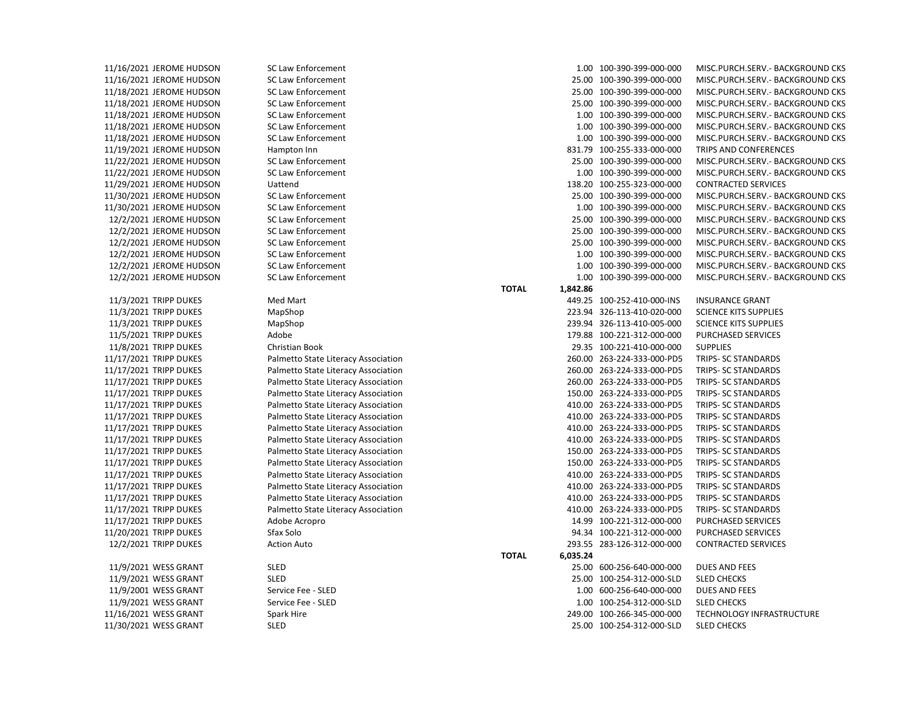11/9/2021 WESS GRANT SLED 11/9/2021 WESS GRANT SLED 11/9/2001 WESS GRANT Service Fee - SLED 11/9/2021 WESS GRANT Service Fee - SLED 11/16/2021 WESS GRANT Spark Hire 11/30/2021 WESS GRANT SLED 25.00 100-254-312-000-SLD SLED CHECKS

| 11/16/2021 JEROME HUDSON | <b>SC Law Enforcement</b>           |                          | 1.00 100-390-399-000-000   | MISC.PURCH.SERV. - BACKGROUND CKS |
|--------------------------|-------------------------------------|--------------------------|----------------------------|-----------------------------------|
| 11/16/2021 JEROME HUDSON | <b>SC Law Enforcement</b>           |                          | 25.00 100-390-399-000-000  | MISC.PURCH.SERV.- BACKGROUND CKS  |
| 11/18/2021 JEROME HUDSON | <b>SC Law Enforcement</b>           |                          | 25.00 100-390-399-000-000  | MISC.PURCH.SERV.- BACKGROUND CKS  |
| 11/18/2021 JEROME HUDSON | <b>SC Law Enforcement</b>           |                          | 25.00 100-390-399-000-000  | MISC.PURCH.SERV.- BACKGROUND CKS  |
| 11/18/2021 JEROME HUDSON | SC Law Enforcement                  |                          | 1.00 100-390-399-000-000   | MISC.PURCH.SERV.- BACKGROUND CKS  |
| 11/18/2021 JEROME HUDSON | <b>SC Law Enforcement</b>           |                          | 1.00 100-390-399-000-000   | MISC.PURCH.SERV.- BACKGROUND CKS  |
| 11/18/2021 JEROME HUDSON | <b>SC Law Enforcement</b>           |                          | 1.00 100-390-399-000-000   | MISC.PURCH.SERV.- BACKGROUND CKS  |
| 11/19/2021 JEROME HUDSON | Hampton Inn                         |                          | 831.79 100-255-333-000-000 | TRIPS AND CONFERENCES             |
| 11/22/2021 JEROME HUDSON | SC Law Enforcement                  |                          | 25.00 100-390-399-000-000  | MISC.PURCH.SERV.- BACKGROUND CKS  |
| 11/22/2021 JEROME HUDSON | <b>SC Law Enforcement</b>           |                          | 1.00 100-390-399-000-000   | MISC.PURCH.SERV.- BACKGROUND CKS  |
| 11/29/2021 JEROME HUDSON | Uattend                             |                          | 138.20 100-255-323-000-000 | <b>CONTRACTED SERVICES</b>        |
| 11/30/2021 JEROME HUDSON | <b>SC Law Enforcement</b>           |                          | 25.00 100-390-399-000-000  | MISC.PURCH.SERV.- BACKGROUND CKS  |
| 11/30/2021 JEROME HUDSON | <b>SC Law Enforcement</b>           |                          | 1.00 100-390-399-000-000   | MISC.PURCH.SERV.- BACKGROUND CKS  |
| 12/2/2021 JEROME HUDSON  | <b>SC Law Enforcement</b>           |                          | 25.00 100-390-399-000-000  | MISC.PURCH.SERV.- BACKGROUND CKS  |
| 12/2/2021 JEROME HUDSON  | <b>SC Law Enforcement</b>           |                          | 25.00 100-390-399-000-000  | MISC.PURCH.SERV.- BACKGROUND CKS  |
| 12/2/2021 JEROME HUDSON  | SC Law Enforcement                  |                          | 25.00 100-390-399-000-000  | MISC.PURCH.SERV.- BACKGROUND CKS  |
| 12/2/2021 JEROME HUDSON  | <b>SC Law Enforcement</b>           |                          | 1.00 100-390-399-000-000   | MISC.PURCH.SERV.- BACKGROUND CKS  |
| 12/2/2021 JEROME HUDSON  | <b>SC Law Enforcement</b>           |                          | 1.00 100-390-399-000-000   | MISC.PURCH.SERV.- BACKGROUND CKS  |
| 12/2/2021 JEROME HUDSON  | <b>SC Law Enforcement</b>           |                          | 1.00 100-390-399-000-000   | MISC.PURCH.SERV.- BACKGROUND CKS  |
|                          |                                     | <b>TOTAL</b><br>1,842.86 |                            |                                   |
| 11/3/2021 TRIPP DUKES    | Med Mart                            |                          | 449.25 100-252-410-000-INS | <b>INSURANCE GRANT</b>            |
| 11/3/2021 TRIPP DUKES    | MapShop                             |                          | 223.94 326-113-410-020-000 | <b>SCIENCE KITS SUPPLIES</b>      |
| 11/3/2021 TRIPP DUKES    | MapShop                             |                          | 239.94 326-113-410-005-000 | <b>SCIENCE KITS SUPPLIES</b>      |
| 11/5/2021 TRIPP DUKES    | Adobe                               |                          | 179.88 100-221-312-000-000 | <b>PURCHASED SERVICES</b>         |
| 11/8/2021 TRIPP DUKES    | Christian Book                      |                          | 29.35 100-221-410-000-000  | <b>SUPPLIES</b>                   |
| 11/17/2021 TRIPP DUKES   | Palmetto State Literacy Association |                          | 260.00 263-224-333-000-PD5 | TRIPS- SC STANDARDS               |
| 11/17/2021 TRIPP DUKES   | Palmetto State Literacy Association |                          | 260.00 263-224-333-000-PD5 | TRIPS- SC STANDARDS               |
| 11/17/2021 TRIPP DUKES   | Palmetto State Literacy Association |                          | 260.00 263-224-333-000-PD5 | TRIPS- SC STANDARDS               |
| 11/17/2021 TRIPP DUKES   | Palmetto State Literacy Association |                          | 150.00 263-224-333-000-PD5 | TRIPS- SC STANDARDS               |
| 11/17/2021 TRIPP DUKES   | Palmetto State Literacy Association |                          | 410.00 263-224-333-000-PD5 | TRIPS- SC STANDARDS               |
| 11/17/2021 TRIPP DUKES   | Palmetto State Literacy Association |                          | 410.00 263-224-333-000-PD5 | TRIPS- SC STANDARDS               |
| 11/17/2021 TRIPP DUKES   | Palmetto State Literacy Association |                          | 410.00 263-224-333-000-PD5 | TRIPS- SC STANDARDS               |
| 11/17/2021 TRIPP DUKES   | Palmetto State Literacy Association |                          | 410.00 263-224-333-000-PD5 | TRIPS- SC STANDARDS               |
| 11/17/2021 TRIPP DUKES   | Palmetto State Literacy Association |                          | 150.00 263-224-333-000-PD5 | TRIPS- SC STANDARDS               |
| 11/17/2021 TRIPP DUKES   | Palmetto State Literacy Association |                          | 150.00 263-224-333-000-PD5 | TRIPS- SC STANDARDS               |
| 11/17/2021 TRIPP DUKES   | Palmetto State Literacy Association |                          | 410.00 263-224-333-000-PD5 | TRIPS- SC STANDARDS               |
| 11/17/2021 TRIPP DUKES   | Palmetto State Literacy Association |                          | 410.00 263-224-333-000-PD5 | TRIPS- SC STANDARDS               |
| 11/17/2021 TRIPP DUKES   | Palmetto State Literacy Association |                          | 410.00 263-224-333-000-PD5 | TRIPS- SC STANDARDS               |
| 11/17/2021 TRIPP DUKES   | Palmetto State Literacy Association |                          | 410.00 263-224-333-000-PD5 | TRIPS- SC STANDARDS               |
| 11/17/2021 TRIPP DUKES   | Adobe Acropro                       |                          | 14.99 100-221-312-000-000  | PURCHASED SERVICES                |
| 11/20/2021 TRIPP DUKES   | Sfax Solo                           |                          | 94.34 100-221-312-000-000  | <b>PURCHASED SERVICES</b>         |
| 12/2/2021 TRIPP DUKES    | <b>Action Auto</b>                  |                          | 293.55 283-126-312-000-000 | <b>CONTRACTED SERVICES</b>        |
|                          |                                     | <b>TOTAL</b><br>6,035.24 |                            |                                   |
| 11/9/2021 WESS GRANT     | <b>SLED</b>                         |                          | 25.00 600-256-640-000-000  | DUES AND FEES                     |
| 11/9/2021 WESS GRANT     | <b>SLED</b>                         |                          | 25.00 100-254-312-000-SLD  | <b>SLED CHECKS</b>                |
| 11/9/2001 WESS GRANT     | Service Fee - SLED                  |                          | 1.00 600-256-640-000-000   | <b>DUES AND FEES</b>              |
| 11/9/2021 WESS GRANT     | Service Fee - SLED                  |                          | 1.00 100-254-312-000-SLD   | <b>SLED CHECKS</b>                |
| 11/16/2021 WESS GRANT    | Spark Hire                          |                          | 249.00 100-266-345-000-000 | TECHNOLOGY INFRASTRUCTURE         |